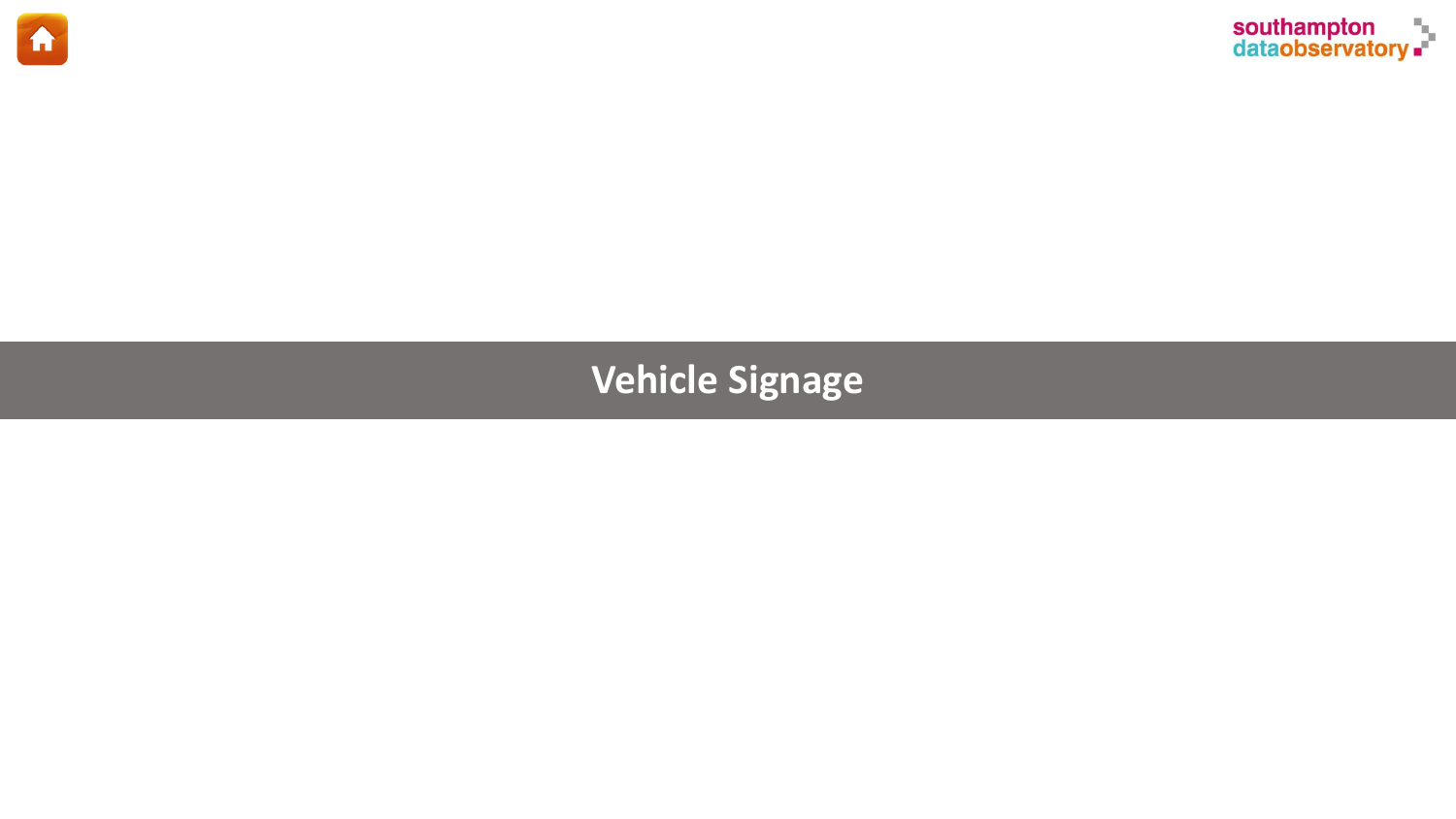



**Vehicle Signage**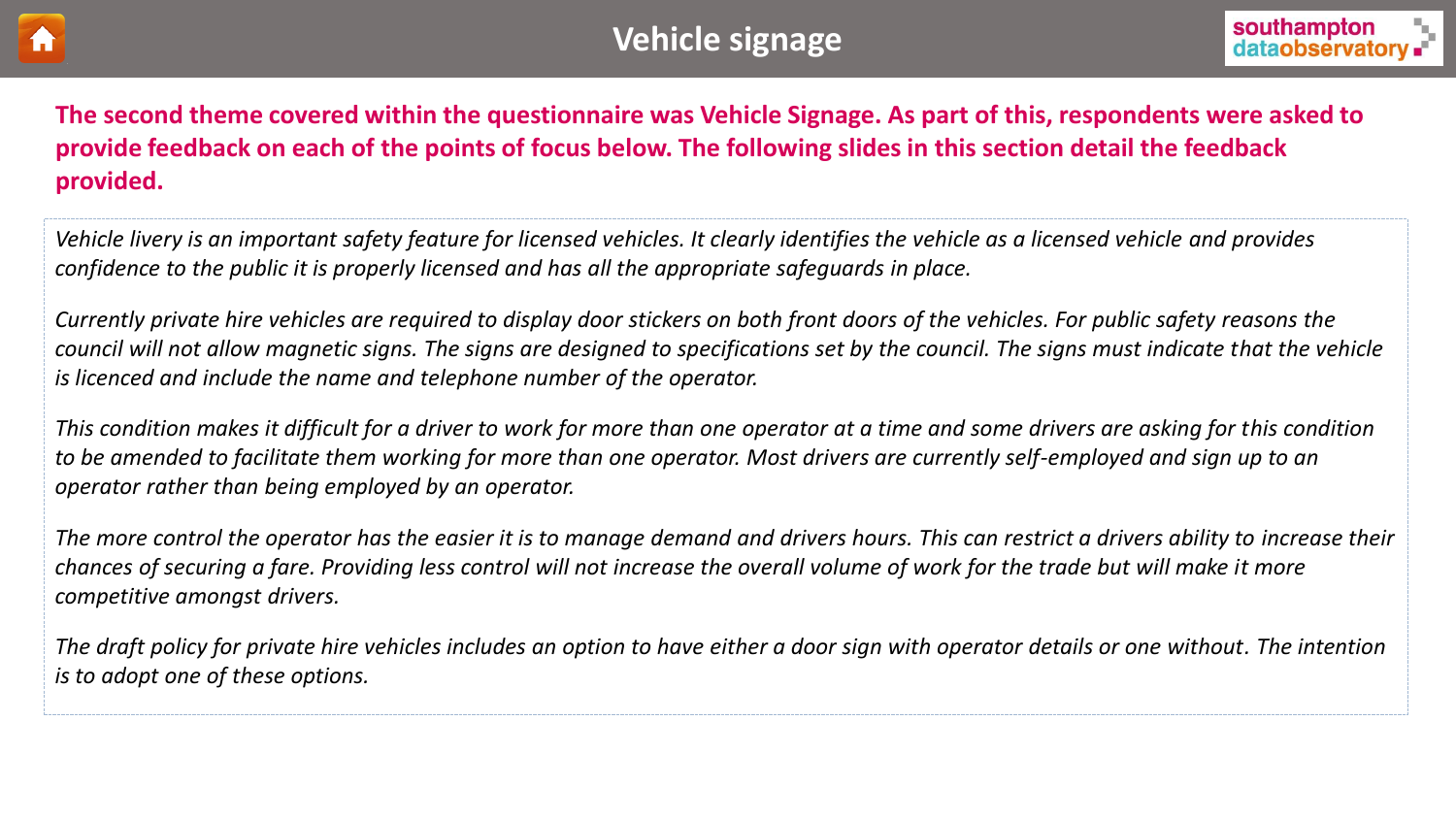

**The second theme covered within the questionnaire was Vehicle Signage. As part of this, respondents were asked to provide feedback on each of the points of focus below. The following slides in this section detail the feedback provided.** 

*Vehicle livery is an important safety feature for licensed vehicles. It clearly identifies the vehicle as a licensed vehicle and provides confidence to the public it is properly licensed and has all the appropriate safeguards in place.* 

*Currently private hire vehicles are required to display door stickers on both front doors of the vehicles. For public safety reasons the council will not allow magnetic signs. The signs are designed to specifications set by the council. The signs must indicate that the vehicle is licenced and include the name and telephone number of the operator.* 

*This condition makes it difficult for a driver to work for more than one operator at a time and some drivers are asking for this condition to be amended to facilitate them working for more than one operator. Most drivers are currently self-employed and sign up to an operator rather than being employed by an operator.* 

*The more control the operator has the easier it is to manage demand and drivers hours. This can restrict a drivers ability to increase their chances of securing a fare. Providing less control will not increase the overall volume of work for the trade but will make it more competitive amongst drivers.* 

*The draft policy for private hire vehicles includes an option to have either a door sign with operator details or one without. The intention is to adopt one of these options.*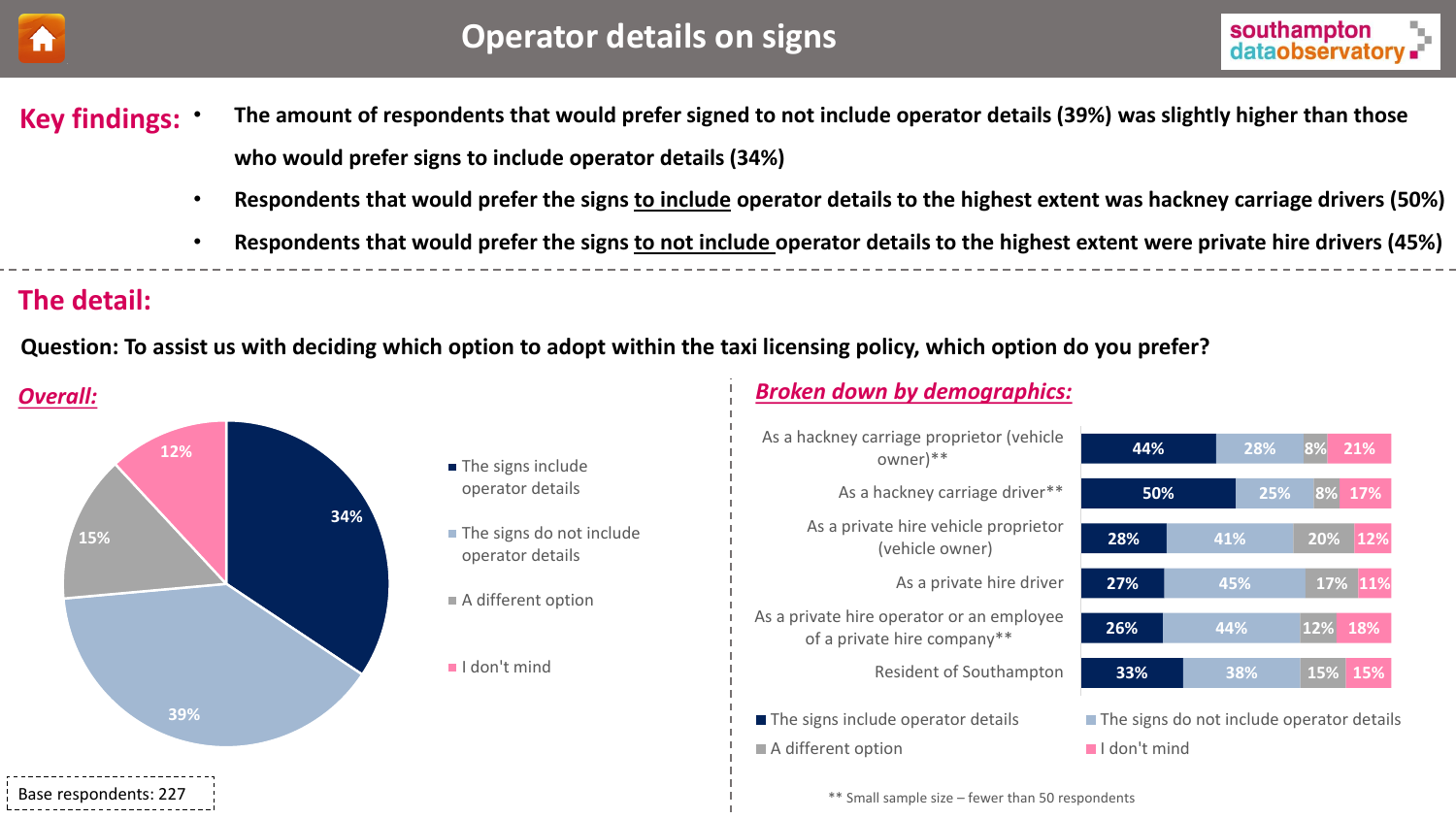



- **The amount of respondents that would prefer signed to not include operator details (39%) was slightly higher than those who would prefer signs to include operator details (34%) Key findings:** 
	- **Respondents that would prefer the signs to include operator details to the highest extent was hackney carriage drivers (50%)**
	- **Respondents that would prefer the signs to not include operator details to the highest extent were private hire drivers (45%)**

#### **The detail:**

Base respondents: 227

**Question: To assist us with deciding which option to adopt within the taxi licensing policy, which option do you prefer?**



- $\blacksquare$  The signs include operator details
- The signs do not include operator details
- A different option
- 

- I don't mind **33%** As a private hire operator or an employee of a private hire company\*\* As a private hire driver As a private hire vehicle proprietor (vehicle owner) As a hackney carriage driver\*\* As a hackney carriage proprietor (vehicle owner)\*\*
	- A different option and I don't mind

| 44% |     | 28% | 8%         | 21% |
|-----|-----|-----|------------|-----|
| 50% |     | 25% | 8%         | 17% |
| 28% | 41% |     | 20%        | 12% |
| 27% | 45% |     | 11%<br>17% |     |
| 26% | 44% |     | 12%        | 18% |
| 33% | 38% |     | 15%        | 15% |

■ The signs include operator details ■ The signs do not include operator details

\*\* Small sample size – fewer than 50 respondents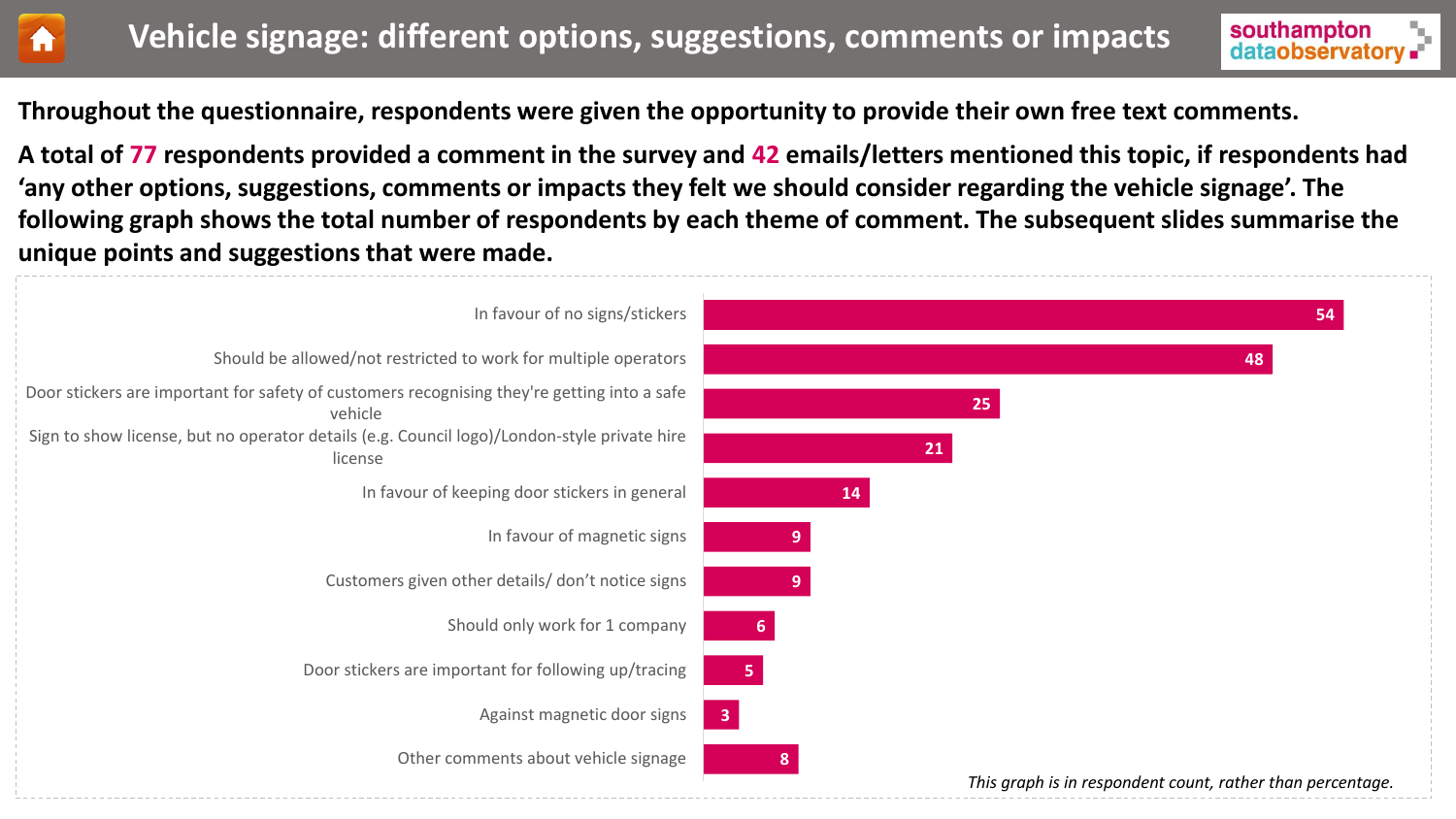



**Throughout the questionnaire, respondents were given the opportunity to provide their own free text comments.** 

**A total of 77 respondents provided a comment in the survey and 42 emails/letters mentioned this topic, if respondents had 'any other options, suggestions, comments or impacts they felt we should consider regarding the vehicle signage'. The following graph shows the total number of respondents by each theme of comment. The subsequent slides summarise the unique points and suggestions that were made.** 

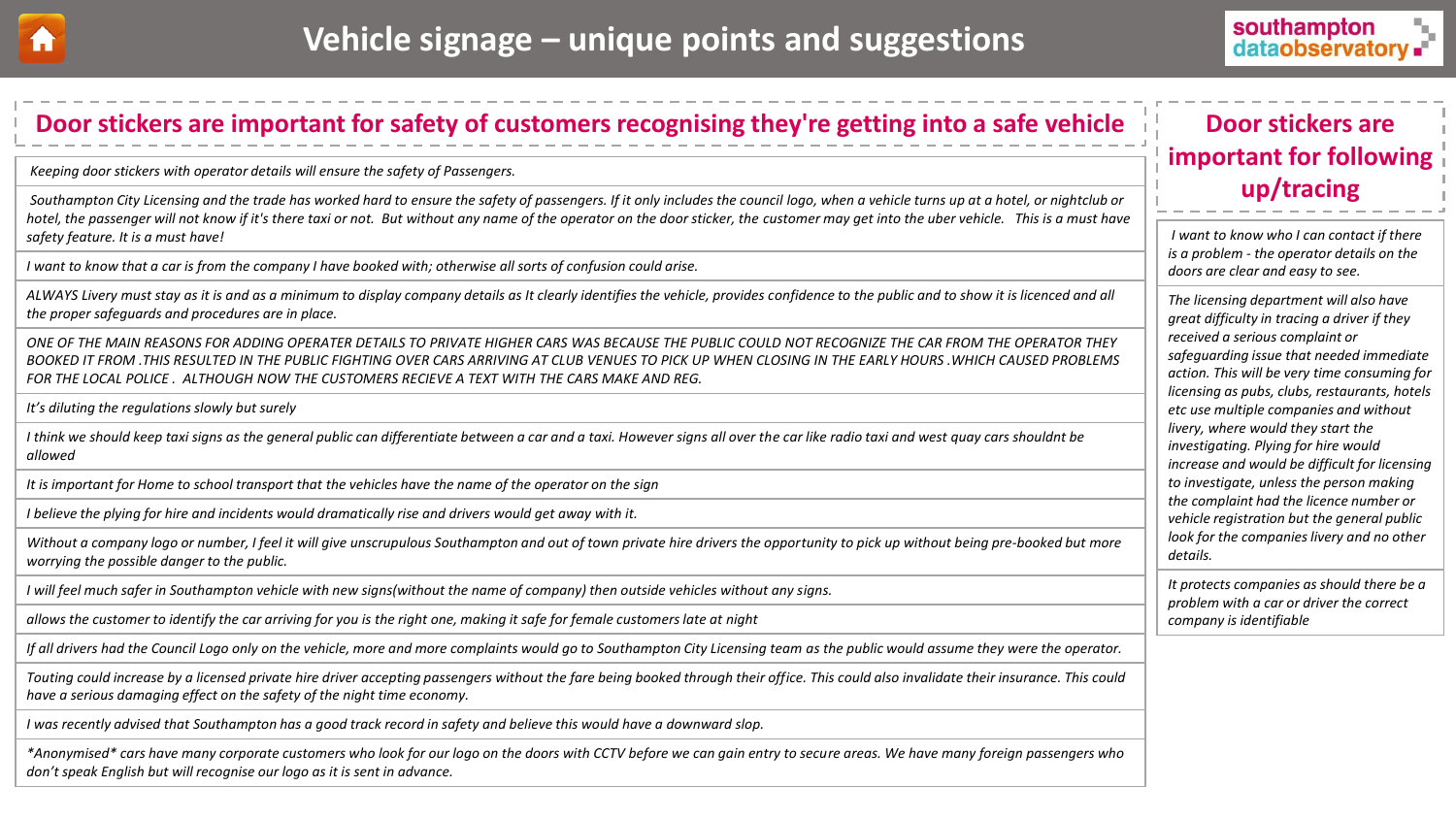![](_page_4_Picture_0.jpeg)

#### **Door stickers are important for safety of customers recognising they're getting into a safe vehicle**  $\frac{1}{2}$  **Door stickers are**

*Keeping door stickers with operator details will ensure the safety of Passengers.*

*Southampton City Licensing and the trade has worked hard to ensure the safety of passengers. If it only includes the council logo, when a vehicle turns up at a hotel, or nightclub or hotel, the passenger will not know if it's there taxi or not. But without any name of the operator on the door sticker, the customer may get into the uber vehicle. This is a must have safety feature. It is a must have!* 

*I want to know that a car is from the company I have booked with; otherwise all sorts of confusion could arise.*

*ALWAYS Livery must stay as it is and as a minimum to display company details as It clearly identifies the vehicle, provides confidence to the public and to show it is licenced and all the proper safeguards and procedures are in place.*

*ONE OF THE MAIN REASONS FOR ADDING OPERATER DETAILS TO PRIVATE HIGHER CARS WAS BECAUSE THE PUBLIC COULD NOT RECOGNIZE THE CAR FROM THE OPERATOR THEY BOOKED IT FROM .THIS RESULTED IN THE PUBLIC FIGHTING OVER CARS ARRIVING AT CLUB VENUES TO PICK UP WHEN CLOSING IN THE EARLY HOURS .WHICH CAUSED PROBLEMS FOR THE LOCAL POLICE . ALTHOUGH NOW THE CUSTOMERS RECIEVE A TEXT WITH THE CARS MAKE AND REG.* 

*It's diluting the regulations slowly but surely*

*I think we should keep taxi signs as the general public can differentiate between a car and a taxi. However signs all over the car like radio taxi and west quay cars shouldnt be allowed*

*It is important for Home to school transport that the vehicles have the name of the operator on the sign*

*I believe the plying for hire and incidents would dramatically rise and drivers would get away with it.*

Without a company logo or number, I feel it will give unscrupulous Southampton and out of town private hire drivers the opportunity to pick up without being pre-booked but more *worrying the possible danger to the public.*

*I will feel much safer in Southampton vehicle with new signs(without the name of company) then outside vehicles without any signs.* 

*allows the customer to identify the car arriving for you is the right one, making it safe for female customers late at night*

*If all drivers had the Council Logo only on the vehicle, more and more complaints would go to Southampton City Licensing team as the public would assume they were the operator.* 

*Touting could increase by a licensed private hire driver accepting passengers without the fare being booked through their office. This could also invalidate their insurance. This could have a serious damaging effect on the safety of the night time economy.*

*I was recently advised that Southampton has a good track record in safety and believe this would have a downward slop.*

*\*Anonymised\* cars have many corporate customers who look for our logo on the doors with CCTV before we can gain entry to secure areas. We have many foreign passengers who don't speak English but will recognise our logo as it is sent in advance.*

# **important for following up/tracing**

*I want to know who I can contact if there is a problem - the operator details on the doors are clear and easy to see.*

*The licensing department will also have great difficulty in tracing a driver if they received a serious complaint or safeguarding issue that needed immediate action. This will be very time consuming for licensing as pubs, clubs, restaurants, hotels etc use multiple companies and without livery, where would they start the investigating. Plying for hire would increase and would be difficult for licensing to investigate, unless the person making the complaint had the licence number or vehicle registration but the general public look for the companies livery and no other details.* 

*It protects companies as should there be a problem with a car or driver the correct company is identifiable*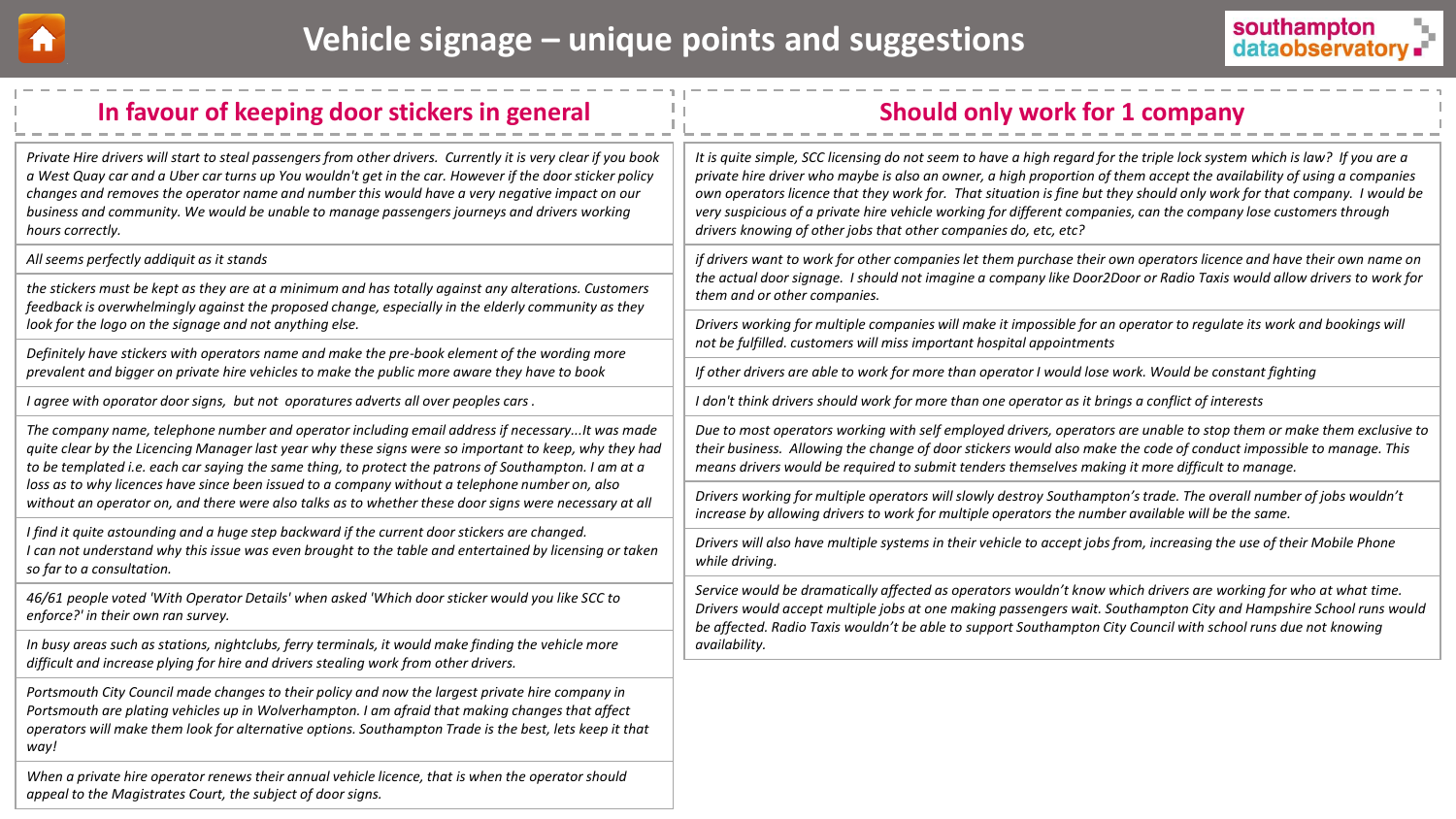![](_page_5_Picture_0.jpeg)

![](_page_5_Picture_2.jpeg)

## **In favour of keeping door stickers in general**

### **Should only work for 1 company**

*Private Hire drivers will start to steal passengers from other drivers. Currently it is very clear if you book a West Quay car and a Uber car turns up You wouldn't get in the car. However if the door sticker policy changes and removes the operator name and number this would have a very negative impact on our business and community. We would be unable to manage passengers journeys and drivers working hours correctly.* 

*All seems perfectly addiquit as it stands*

*the stickers must be kept as they are at a minimum and has totally against any alterations. Customers feedback is overwhelmingly against the proposed change, especially in the elderly community as they look for the logo on the signage and not anything else.* 

*Definitely have stickers with operators name and make the pre-book element of the wording more prevalent and bigger on private hire vehicles to make the public more aware they have to book*

*I agree with oporator door signs, but not oporatures adverts all over peoples cars .*

*The company name, telephone number and operator including email address if necessary...It was made quite clear by the Licencing Manager last year why these signs were so important to keep, why they had to be templated i.e. each car saying the same thing, to protect the patrons of Southampton. I am at a loss as to why licences have since been issued to a company without a telephone number on, also without an operator on, and there were also talks as to whether these door signs were necessary at all*

*I find it quite astounding and a huge step backward if the current door stickers are changed. I can not understand why this issue was even brought to the table and entertained by licensing or taken so far to a consultation.* 

*46/61 people voted 'With Operator Details' when asked 'Which door sticker would you like SCC to enforce?' in their own ran survey.* 

*In busy areas such as stations, nightclubs, ferry terminals, it would make finding the vehicle more difficult and increase plying for hire and drivers stealing work from other drivers.* 

*Portsmouth City Council made changes to their policy and now the largest private hire company in Portsmouth are plating vehicles up in Wolverhampton. I am afraid that making changes that affect operators will make them look for alternative options. Southampton Trade is the best, lets keep it that way!*

*When a private hire operator renews their annual vehicle licence, that is when the operator should appeal to the Magistrates Court, the subject of door signs.*

*It is quite simple, SCC licensing do not seem to have a high regard for the triple lock system which is law? If you are a private hire driver who maybe is also an owner, a high proportion of them accept the availability of using a companies own operators licence that they work for. That situation is fine but they should only work for that company. I would be very suspicious of a private hire vehicle working for different companies, can the company lose customers through drivers knowing of other jobs that other companies do, etc, etc?* 

*if drivers want to work for other companies let them purchase their own operators licence and have their own name on the actual door signage. I should not imagine a company like Door2Door or Radio Taxis would allow drivers to work for them and or other companies.*

*Drivers working for multiple companies will make it impossible for an operator to regulate its work and bookings will not be fulfilled. customers will miss important hospital appointments* 

*If other drivers are able to work for more than operator I would lose work. Would be constant fighting*

*I don't think drivers should work for more than one operator as it brings a conflict of interests*

*Due to most operators working with self employed drivers, operators are unable to stop them or make them exclusive to their business. Allowing the change of door stickers would also make the code of conduct impossible to manage. This means drivers would be required to submit tenders themselves making it more difficult to manage.*

*Drivers working for multiple operators will slowly destroy Southampton's trade. The overall number of jobs wouldn't increase by allowing drivers to work for multiple operators the number available will be the same.* 

*Drivers will also have multiple systems in their vehicle to accept jobs from, increasing the use of their Mobile Phone while driving.* 

*Service would be dramatically affected as operators wouldn't know which drivers are working for who at what time. Drivers would accept multiple jobs at one making passengers wait. Southampton City and Hampshire School runs would be affected. Radio Taxis wouldn't be able to support Southampton City Council with school runs due not knowing availability.*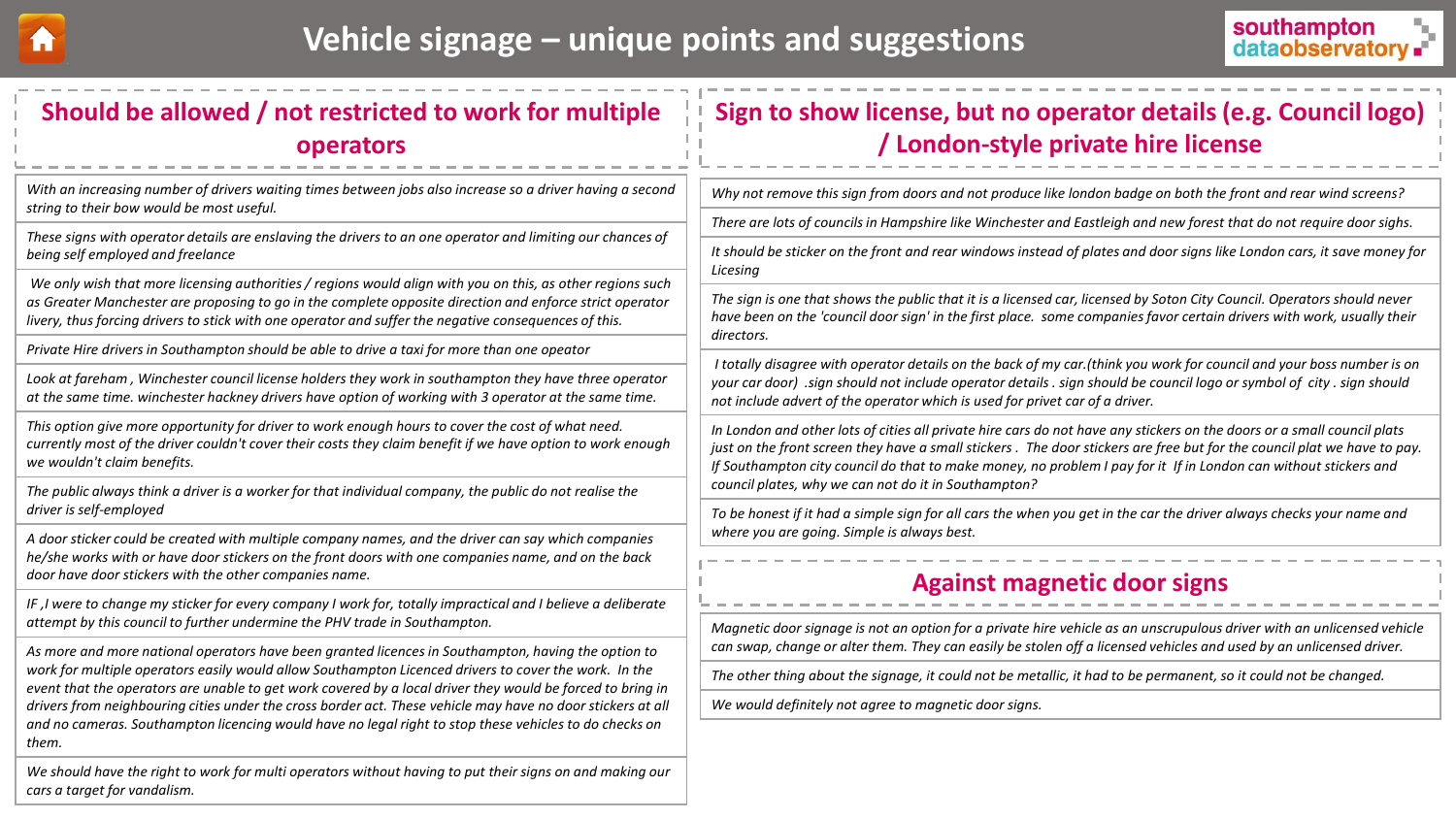| Should be allowed / not restricted to work for multiple<br>operators                                                                                                                                                                                                                                                            | Sign to show license, but no operator details (e.g. Council logo)<br>/ London-style private hire license                                                                                                                                                                                                                                                                                                                                                                                                                                                                                               |  |  |  |
|---------------------------------------------------------------------------------------------------------------------------------------------------------------------------------------------------------------------------------------------------------------------------------------------------------------------------------|--------------------------------------------------------------------------------------------------------------------------------------------------------------------------------------------------------------------------------------------------------------------------------------------------------------------------------------------------------------------------------------------------------------------------------------------------------------------------------------------------------------------------------------------------------------------------------------------------------|--|--|--|
| With an increasing number of drivers waiting times between jobs also increase so a driver having a second<br>string to their bow would be most useful.                                                                                                                                                                          | Why not remove this sign from doors and not produce like london badge on both the front and rear wind screens?                                                                                                                                                                                                                                                                                                                                                                                                                                                                                         |  |  |  |
| These signs with operator details are enslaving the drivers to an one operator and limiting our chances of                                                                                                                                                                                                                      | There are lots of councils in Hampshire like Winchester and Eastleigh and new forest that do not require door sighs.                                                                                                                                                                                                                                                                                                                                                                                                                                                                                   |  |  |  |
| being self employed and freelance                                                                                                                                                                                                                                                                                               | It should be sticker on the front and rear windows instead of plates and door signs like London cars, it save money for<br>Licesing                                                                                                                                                                                                                                                                                                                                                                                                                                                                    |  |  |  |
| We only wish that more licensing authorities / regions would align with you on this, as other regions such<br>as Greater Manchester are proposing to go in the complete opposite direction and enforce strict operator<br>livery, thus forcing drivers to stick with one operator and suffer the negative consequences of this. | The sign is one that shows the public that it is a licensed car, licensed by Soton City Council. Operators should never<br>have been on the 'council door sign' in the first place. some companies favor certain drivers with work, usually their                                                                                                                                                                                                                                                                                                                                                      |  |  |  |
| Private Hire drivers in Southampton should be able to drive a taxi for more than one opeator                                                                                                                                                                                                                                    | directors.                                                                                                                                                                                                                                                                                                                                                                                                                                                                                                                                                                                             |  |  |  |
| Look at fareham, Winchester council license holders they work in southampton they have three operator<br>at the same time. winchester hackney drivers have option of working with 3 operator at the same time.                                                                                                                  | I totally disagree with operator details on the back of my car. (think you work for council and your boss number is on<br>your car door) .sign should not include operator details . sign should be council logo or symbol of city . sign should<br>not include advert of the operator which is used for privet car of a driver.                                                                                                                                                                                                                                                                       |  |  |  |
| This option give more opportunity for driver to work enough hours to cover the cost of what need.<br>currently most of the driver couldn't cover their costs they claim benefit if we have option to work enough<br>we wouldn't claim benefits.                                                                                 | In London and other lots of cities all private hire cars do not have any stickers on the doors or a small council plats<br>just on the front screen they have a small stickers. The door stickers are free but for the council plat we have to pay.<br>If Southampton city council do that to make money, no problem I pay for it If in London can without stickers and<br>council plates, why we can not do it in Southampton?<br>To be honest if it had a simple sign for all cars the when you get in the car the driver always checks your name and<br>where you are going. Simple is always best. |  |  |  |
| The public always think a driver is a worker for that individual company, the public do not realise the                                                                                                                                                                                                                         |                                                                                                                                                                                                                                                                                                                                                                                                                                                                                                                                                                                                        |  |  |  |
| driver is self-employed                                                                                                                                                                                                                                                                                                         |                                                                                                                                                                                                                                                                                                                                                                                                                                                                                                                                                                                                        |  |  |  |
| A door sticker could be created with multiple company names, and the driver can say which companies<br>he/she works with or have door stickers on the front doors with one companies name, and on the back                                                                                                                      |                                                                                                                                                                                                                                                                                                                                                                                                                                                                                                                                                                                                        |  |  |  |
| door have door stickers with the other companies name.                                                                                                                                                                                                                                                                          | <b>Against magnetic door signs</b>                                                                                                                                                                                                                                                                                                                                                                                                                                                                                                                                                                     |  |  |  |
| IF, I were to change my sticker for every company I work for, totally impractical and I believe a deliberate                                                                                                                                                                                                                    |                                                                                                                                                                                                                                                                                                                                                                                                                                                                                                                                                                                                        |  |  |  |
| attempt by this council to further undermine the PHV trade in Southampton.                                                                                                                                                                                                                                                      | Magnetic door signage is not an option for a private hire vehicle as an unscrupulous driver with an unlicensed vehicle<br>can swap, change or alter them. They can easily be stolen off a licensed vehicles and used by an unlicensed driver.                                                                                                                                                                                                                                                                                                                                                          |  |  |  |
| As more and more national operators have been granted licences in Southampton, having the option to<br>work for multiple operators easily would allow Southampton Licenced drivers to cover the work. In the                                                                                                                    |                                                                                                                                                                                                                                                                                                                                                                                                                                                                                                                                                                                                        |  |  |  |
| event that the operators are unable to get work covered by a local driver they would be forced to bring in                                                                                                                                                                                                                      | The other thing about the signage, it could not be metallic, it had to be permanent, so it could not be changed.                                                                                                                                                                                                                                                                                                                                                                                                                                                                                       |  |  |  |
| drivers from neighbouring cities under the cross border act. These vehicle may have no door stickers at all<br>and no cameras. Southampton licencing would have no legal right to stop these vehicles to do checks on<br>them.                                                                                                  | We would definitely not agree to magnetic door signs.                                                                                                                                                                                                                                                                                                                                                                                                                                                                                                                                                  |  |  |  |
| We should have the right to work for multi operators without having to put their signs on and making our<br>cars a target for vandalism.                                                                                                                                                                                        |                                                                                                                                                                                                                                                                                                                                                                                                                                                                                                                                                                                                        |  |  |  |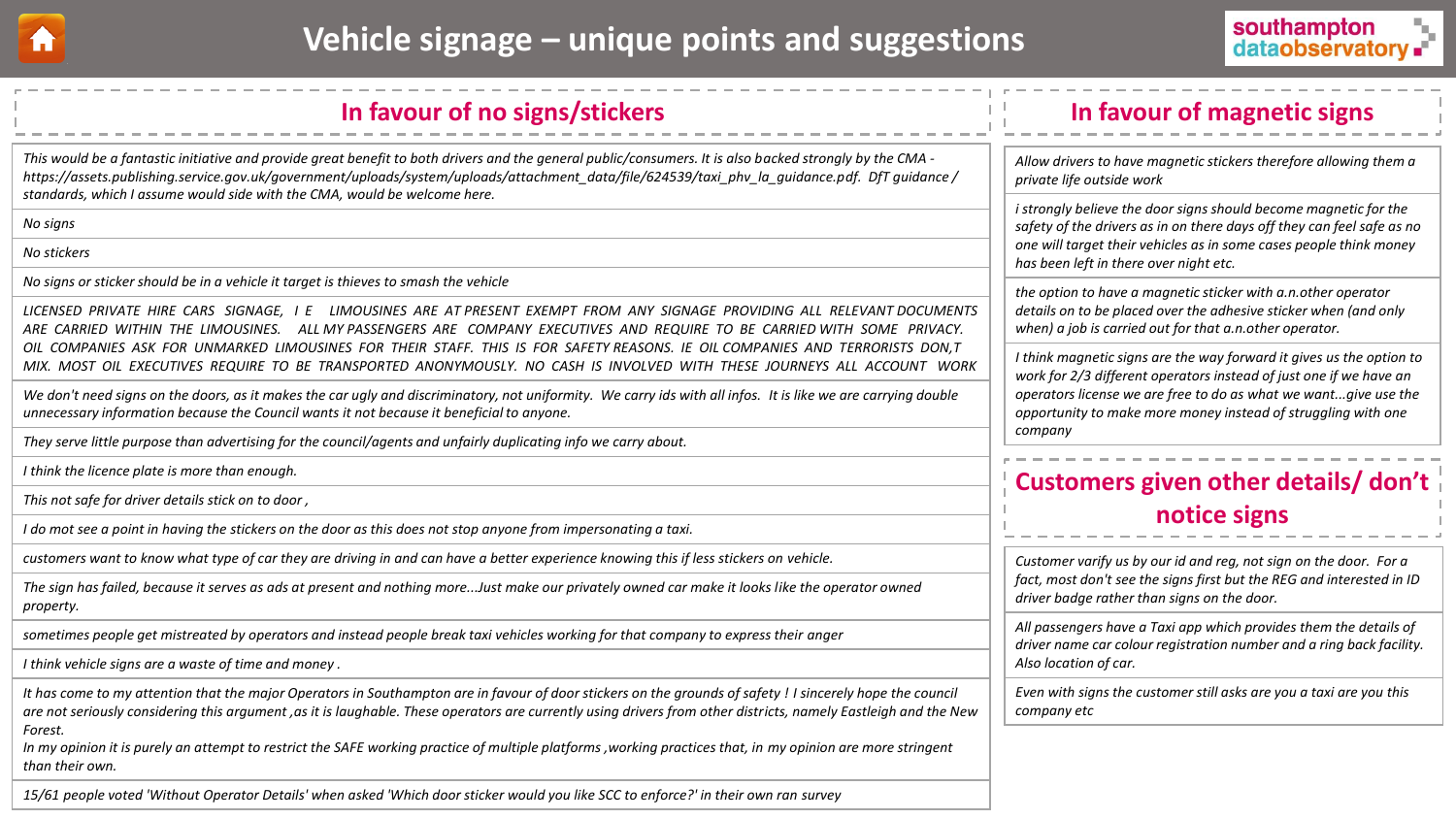![](_page_7_Picture_0.jpeg)

#### **In favour of no signs/stickers**

*This would be a fantastic initiative and provide great benefit to both drivers and the general public/consumers. It is also backed strongly by the CMA https://assets.publishing.service.gov.uk/government/uploads/system/uploads/attachment\_data/file/624539/taxi\_phv\_la\_guidance.pdf. DfT guidance / standards, which I assume would side with the CMA, would be welcome here.*

*No signs*

*No stickers*

*No signs or sticker should be in a vehicle it target is thieves to smash the vehicle*

*LICENSED PRIVATE HIRE CARS SIGNAGE, I E LIMOUSINES ARE AT PRESENT EXEMPT FROM ANY SIGNAGE PROVIDING ALL RELEVANT DOCUMENTS ARE CARRIED WITHIN THE LIMOUSINES. ALL MY PASSENGERS ARE COMPANY EXECUTIVES AND REQUIRE TO BE CARRIED WITH SOME PRIVACY. OIL COMPANIES ASK FOR UNMARKED LIMOUSINES FOR THEIR STAFF. THIS IS FOR SAFETY REASONS. IE OIL COMPANIES AND TERRORISTS DON,T MIX. MOST OIL EXECUTIVES REQUIRE TO BE TRANSPORTED ANONYMOUSLY. NO CASH IS INVOLVED WITH THESE JOURNEYS ALL ACCOUNT WORK*

We don't need signs on the doors, as it makes the car ugly and discriminatory, not uniformity. We carry ids with all infos. It is like we are carrying double *unnecessary information because the Council wants it not because it beneficial to anyone.* 

*They serve little purpose than advertising for the council/agents and unfairly duplicating info we carry about.*

*I think the licence plate is more than enough.*

*This not safe for driver details stick on to door ,* 

*I do mot see a point in having the stickers on the door as this does not stop anyone from impersonating a taxi.*

*customers want to know what type of car they are driving in and can have a better experience knowing this if less stickers on vehicle.* 

*The sign has failed, because it serves as ads at present and nothing more...Just make our privately owned car make it looks like the operator owned property.*

*sometimes people get mistreated by operators and instead people break taxi vehicles working for that company to express their anger*

*I think vehicle signs are a waste of time and money .*

*It has come to my attention that the major Operators in Southampton are in favour of door stickers on the grounds of safety ! I sincerely hope the council are not seriously considering this argument ,as it is laughable. These operators are currently using drivers from other districts, namely Eastleigh and the New Forest.* 

*In my opinion it is purely an attempt to restrict the SAFE working practice of multiple platforms ,working practices that, in my opinion are more stringent than their own.*

*15/61 people voted 'Without Operator Details' when asked 'Which door sticker would you like SCC to enforce?' in their own ran survey*

# **In favour of magnetic signs**

*Allow drivers to have magnetic stickers therefore allowing them a private life outside work*

*i strongly believe the door signs should become magnetic for the safety of the drivers as in on there days off they can feel safe as no one will target their vehicles as in some cases people think money has been left in there over night etc.*

*the option to have a magnetic sticker with a.n.other operator details on to be placed over the adhesive sticker when (and only when) a job is carried out for that a.n.other operator.* 

*I think magnetic signs are the way forward it gives us the option to work for 2/3 different operators instead of just one if we have an operators license we are free to do as what we want...give use the opportunity to make more money instead of struggling with one company*

# **Customers given other details/ don't notice signs**

*Customer varify us by our id and reg, not sign on the door. For a fact, most don't see the signs first but the REG and interested in ID driver badge rather than signs on the door.*

*All passengers have a Taxi app which provides them the details of driver name car colour registration number and a ring back facility. Also location of car.*

*Even with signs the customer still asks are you a taxi are you this company etc*